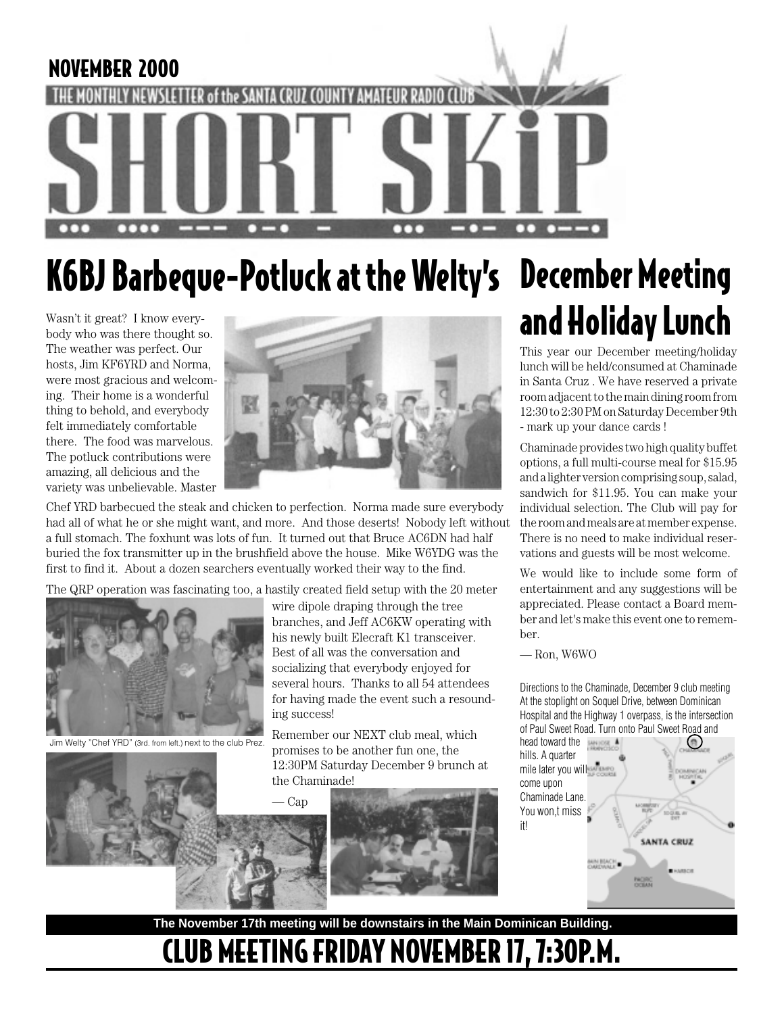

## K6BJ Barbeque-Potluck at the Welty's December Meeting

Wasn't it great? I know everybody who was there thought so. The weather was perfect. Our hosts, Jim KF6YRD and Norma, were most gracious and welcoming. Their home is a wonderful thing to behold, and everybody felt immediately comfortable there. The food was marvelous. The potluck contributions were amazing, all delicious and the variety was unbelievable. Master



Chef YRD barbecued the steak and chicken to perfection. Norma made sure everybody had all of what he or she might want, and more. And those deserts! Nobody left without a full stomach. The foxhunt was lots of fun. It turned out that Bruce AC6DN had half buried the fox transmitter up in the brushfield above the house. Mike W6YDG was the first to find it. About a dozen searchers eventually worked their way to the find.

The QRP operation was fascinating too, a hastily created field setup with the 20 meter



Jim Welty "Chef YRD" (3rd. from left.) next to the club Prez.

wire dipole draping through the tree branches, and Jeff AC6KW operating with his newly built Elecraft K1 transceiver. Best of all was the conversation and socializing that everybody enjoyed for several hours. Thanks to all 54 attendees for having made the event such a resounding success!

Remember our NEXT club meal, which promises to be another fun one, the 12:30PM Saturday December 9 brunch at the Chaminade!





# and Holiday Lunch

This year our December meeting/holiday lunch will be held/consumed at Chaminade in Santa Cruz . We have reserved a private room adjacent to the main dining room from 12:30 to 2:30 PM on Saturday December 9th - mark up your dance cards !

Chaminade provides two high quality buffet options, a full multi-course meal for \$15.95 and a lighter version comprising soup, salad, sandwich for \$11.95. You can make your individual selection. The Club will pay for the room and meals are at member expense. There is no need to make individual reservations and guests will be most welcome.

We would like to include some form of entertainment and any suggestions will be appreciated. Please contact a Board member and let's make this event one to remember.

— Ron, W6WO

Directions to the Chaminade, December 9 club meeting At the stoplight on Soquel Drive, between Dominican Hospital and the Highway 1 overpass, is the intersection of Paul Sweet Road. Turn onto Paul Sweet Road and

head toward the 商 hills. A quarter mile later you will come upon Chaminade Lane. You won,t miss it!**SANTA CRUZ** NIN BIACH. **PACIFIC** 

**The November 17th meeting will be downstairs in the Main Dominican Building.**

## CLUB MEETING FRIDAY NOVEMBER 17, 7:30P.M.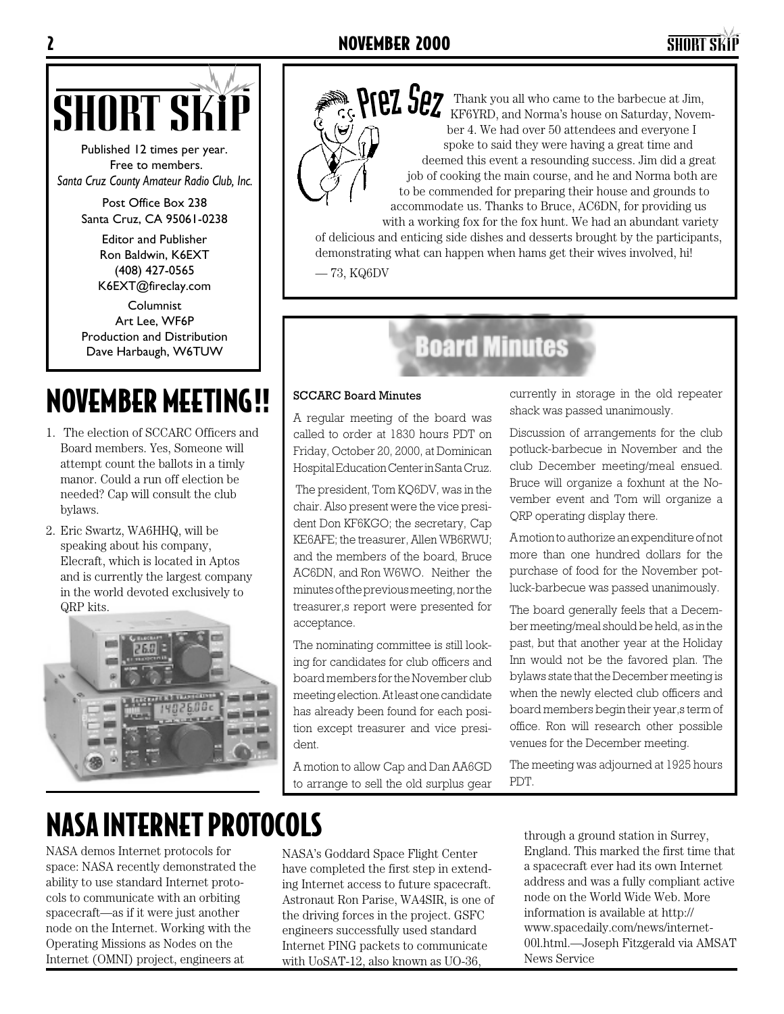

Published 12 times per year. Free to members. *Santa Cruz County Amateur Radio Club, Inc.*

> Post Office Box 238 Santa Cruz, CA 95061-0238

> > Editor and Publisher Ron Baldwin, K6EXT (408) 427-0565 K6EXT@fireclay.com

Columnist Art Lee, WF6P Production and Distribution Dave Harbaugh, W6TUW

### NOVEMBER MEETING!! | SCCARC Board Minutes

- 1. The election of SCCARC Officers and Board members. Yes, Someone will attempt count the ballots in a timly manor. Could a run off election be needed? Cap will consult the club bylaws.
- 2. Eric Swartz, WA6HHQ, will be speaking about his company, Elecraft, which is located in Aptos and is currently the largest company in the world devoted exclusively to QRP kits.





SHORT SKiP Thank you all who came to the barbecue at Jim, KF6YRD, and Norma's house on Saturday, November 4. We had over 50 attendees and everyone I spoke to said they were having a great time and deemed this event a resounding success. Jim did a great job of cooking the main course, and he and Norma both are to be commended for preparing their house and grounds to accommodate us. Thanks to Bruce, AC6DN, for providing us with a working fox for the fox hunt. We had an abundant variety

of delicious and enticing side dishes and desserts brought by the participants, demonstrating what can happen when hams get their wives involved, hi!

— 73, KQ6DV

### **Board Minutes**

A regular meeting of the board was called to order at 1830 hours PDT on Friday, October 20, 2000, at Dominican Hospital Education Center in Santa Cruz.

 The president, Tom KQ6DV, was in the chair. Also present were the vice president Don KF6KGO; the secretary, Cap KE6AFE; the treasurer, Allen WB6RWU; and the members of the board, Bruce AC6DN, and Ron W6WO. Neither the minutes of the previous meeting, nor the treasurer,s report were presented for acceptance.

The nominating committee is still looking for candidates for club officers and board members for the November club meeting election. At least one candidate has already been found for each position except treasurer and vice president.

A motion to allow Cap and Dan AA6GD to arrange to sell the old surplus gear currently in storage in the old repeater shack was passed unanimously.

Discussion of arrangements for the club potluck-barbecue in November and the club December meeting/meal ensued. Bruce will organize a foxhunt at the November event and Tom will organize a QRP operating display there.

A motion to authorize an expenditure of not more than one hundred dollars for the purchase of food for the November potluck-barbecue was passed unanimously.

The board generally feels that a December meeting/meal should be held, as in the past, but that another year at the Holiday Inn would not be the favored plan. The bylaws state that the December meeting is when the newly elected club officers and board members begin their year, sterm of office. Ron will research other possible venues for the December meeting.

The meeting was adjourned at 1925 hours PDT.

### NASA INTERNET PROTOCOLS

NASA demos Internet protocols for space: NASA recently demonstrated the ability to use standard Internet protocols to communicate with an orbiting spacecraft—as if it were just another node on the Internet. Working with the Operating Missions as Nodes on the Internet (OMNI) project, engineers at

NASA's Goddard Space Flight Center have completed the first step in extending Internet access to future spacecraft. Astronaut Ron Parise, WA4SIR, is one of the driving forces in the project. GSFC engineers successfully used standard Internet PING packets to communicate with UoSAT-12, also known as UO-36,

through a ground station in Surrey, England. This marked the first time that a spacecraft ever had its own Internet address and was a fully compliant active node on the World Wide Web. More information is available at http:// www.spacedaily.com/news/internet-00l.html.—Joseph Fitzgerald via AMSAT News Service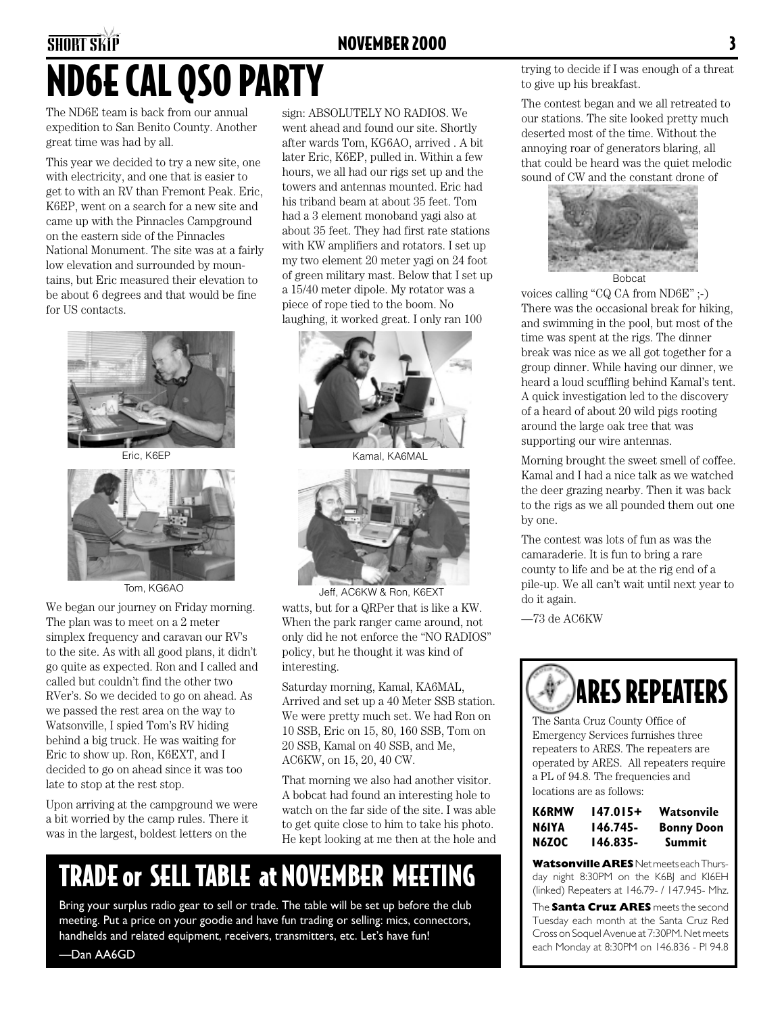### **SHORT SKIP** NOVEMBER 2000 ND6E CAL QSO PARTY

The ND6E team is back from our annual expedition to San Benito County. Another great time was had by all.

This year we decided to try a new site, one with electricity, and one that is easier to get to with an RV than Fremont Peak. Eric, K6EP, went on a search for a new site and came up with the Pinnacles Campground on the eastern side of the Pinnacles National Monument. The site was at a fairly low elevation and surrounded by mountains, but Eric measured their elevation to be about 6 degrees and that would be fine for US contacts.



Eric, K6EP



We began our journey on Friday morning. The plan was to meet on a 2 meter simplex frequency and caravan our RV's to the site. As with all good plans, it didn't go quite as expected. Ron and I called and called but couldn't find the other two RVer's. So we decided to go on ahead. As we passed the rest area on the way to Watsonville, I spied Tom's RV hiding behind a big truck. He was waiting for Eric to show up. Ron, K6EXT, and I decided to go on ahead since it was too late to stop at the rest stop.

Upon arriving at the campground we were a bit worried by the camp rules. There it was in the largest, boldest letters on the

sign: ABSOLUTELY NO RADIOS. We went ahead and found our site. Shortly after wards Tom, KG6AO, arrived . A bit later Eric, K6EP, pulled in. Within a few hours, we all had our rigs set up and the towers and antennas mounted. Eric had his triband beam at about 35 feet. Tom had a 3 element monoband yagi also at about 35 feet. They had first rate stations with KW amplifiers and rotators. I set up my two element 20 meter yagi on 24 foot of green military mast. Below that I set up a 15/40 meter dipole. My rotator was a piece of rope tied to the boom. No laughing, it worked great. I only ran 100



Kamal, KA6MAL



Tom, KG6AO Jeff, AC6KW & Ron, K6EXT watts, but for a QRPer that is like a KW. When the park ranger came around, not only did he not enforce the "NO RADIOS" policy, but he thought it was kind of interesting.

> Saturday morning, Kamal, KA6MAL, Arrived and set up a 40 Meter SSB station. We were pretty much set. We had Ron on 10 SSB, Eric on 15, 80, 160 SSB, Tom on 20 SSB, Kamal on 40 SSB, and Me, AC6KW, on 15, 20, 40 CW.

> That morning we also had another visitor. A bobcat had found an interesting hole to watch on the far side of the site. I was able to get quite close to him to take his photo. He kept looking at me then at the hole and

### TRADE or SELL TABLE at NOVEMBER MEETING

Bring your surplus radio gear to sell or trade. The table will be set up before the club meeting. Put a price on your goodie and have fun trading or selling: mics, connectors, handhelds and related equipment, receivers, transmitters, etc. Let's have fun!

trying to decide if I was enough of a threat to give up his breakfast.

The contest began and we all retreated to our stations. The site looked pretty much deserted most of the time. Without the annoying roar of generators blaring, all that could be heard was the quiet melodic sound of CW and the constant drone of



voices calling "CQ CA from ND6E" ;-) There was the occasional break for hiking, and swimming in the pool, but most of the time was spent at the rigs. The dinner break was nice as we all got together for a group dinner. While having our dinner, we heard a loud scuffling behind Kamal's tent. A quick investigation led to the discovery of a heard of about 20 wild pigs rooting around the large oak tree that was supporting our wire antennas.

Morning brought the sweet smell of coffee. Kamal and I had a nice talk as we watched the deer grazing nearby. Then it was back to the rigs as we all pounded them out one by one.

The contest was lots of fun as was the camaraderie. It is fun to bring a rare county to life and be at the rig end of a pile-up. We all can't wait until next year to do it again.

—73 de AC6KW



The Santa Cruz County Office of Emergency Services furnishes three repeaters to ARES. The repeaters are operated by ARES. All repeaters require a PL of 94.8. The frequencies and locations are as follows:

| K6RMW | 147.015+ | Watsonvile        |
|-------|----------|-------------------|
| N6IYA | 146.745- | <b>Bonny Doon</b> |
| N6ZOC | 146.835- | Summit            |

**Watsonville ARES** Net meets each Thursday night 8:30PM on the K6BJ and KI6EH (linked) Repeaters at 146.79- / 147.945- Mhz.

The **Santa Cruz ARES** meets the second Tuesday each month at the Santa Cruz Red Cross on Soquel Avenue at 7:30PM. Net meets each Monday at 8:30PM on 146.836 - Pl 94.8

—Dan AA6GD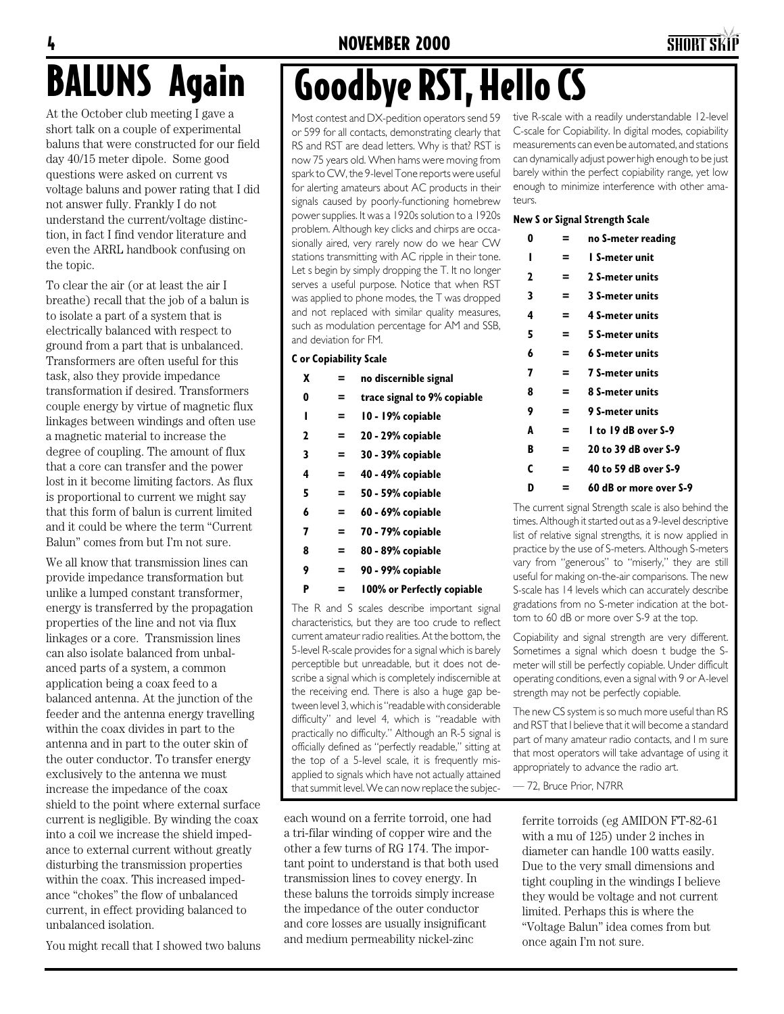#### 4 NOVEMBER 2000 SHORT SKiP

## BALUNS Again

At the October club meeting I gave a short talk on a couple of experimental baluns that were constructed for our field day 40/15 meter dipole. Some good questions were asked on current vs voltage baluns and power rating that I did not answer fully. Frankly I do not understand the current/voltage distinction, in fact I find vendor literature and even the ARRL handbook confusing on the topic.

To clear the air (or at least the air I breathe) recall that the job of a balun is to isolate a part of a system that is electrically balanced with respect to ground from a part that is unbalanced. Transformers are often useful for this task, also they provide impedance transformation if desired. Transformers couple energy by virtue of magnetic flux linkages between windings and often use a magnetic material to increase the degree of coupling. The amount of flux that a core can transfer and the power lost in it become limiting factors. As flux is proportional to current we might say that this form of balun is current limited and it could be where the term "Current Balun" comes from but I'm not sure.

We all know that transmission lines can provide impedance transformation but unlike a lumped constant transformer, energy is transferred by the propagation properties of the line and not via flux linkages or a core. Transmission lines can also isolate balanced from unbalanced parts of a system, a common application being a coax feed to a balanced antenna. At the junction of the feeder and the antenna energy travelling within the coax divides in part to the antenna and in part to the outer skin of the outer conductor. To transfer energy exclusively to the antenna we must increase the impedance of the coax shield to the point where external surface current is negligible. By winding the coax into a coil we increase the shield impedance to external current without greatly disturbing the transmission properties within the coax. This increased impedance "chokes" the flow of unbalanced current, in effect providing balanced to unbalanced isolation.

You might recall that I showed two baluns

## Goodbye RST, Hello CS

Most contest and DX-pedition operators send 59 or 599 for all contacts, demonstrating clearly that RS and RST are dead letters. Why is that? RST is now 75 years old. When hams were moving from spark to CW, the 9-level Tone reports were useful for alerting amateurs about AC products in their signals caused by poorly-functioning homebrew power supplies. It was a 1920s solution to a 1920s problem. Although key clicks and chirps are occasionally aired, very rarely now do we hear CW stations transmitting with AC ripple in their tone. Let s begin by simply dropping the T. It no longer serves a useful purpose. Notice that when RST was applied to phone modes, the T was dropped and not replaced with similar quality measures, such as modulation percentage for AM and SSB, and deviation for FM.

#### **C or Copiability Scale**

| x | = | no discernible signal       |
|---|---|-----------------------------|
| 0 | = | trace signal to 9% copiable |
| ı | = | 10 - 19% copiable           |
| 2 | = | 20 - 29% copiable           |
| 3 | = | 30 - 39% copiable           |
| 4 | = | 40 - 49% copiable           |
| 5 | = | 50 - 59% copiable           |
| 6 | = | 60 - 69% copiable           |
| 7 | = | 70 - 79% copiable           |
| 8 | = | 80 - 89% copiable           |
| 9 | = | 90 - 99% copiable           |
| P | = | 100% or Perfectly copiable  |

The R and S scales describe important signal characteristics, but they are too crude to reflect current amateur radio realities. At the bottom, the 5-level R-scale provides for a signal which is barely perceptible but unreadable, but it does not describe a signal which is completely indiscernible at the receiving end. There is also a huge gap between level 3, which is "readable with considerable difficulty" and level 4, which is "readable with practically no difficulty." Although an R-5 signal is officially defined as "perfectly readable," sitting at the top of a 5-level scale, it is frequently misapplied to signals which have not actually attained that summit level. We can now replace the subjec-

each wound on a ferrite torroid, one had a tri-filar winding of copper wire and the other a few turns of RG 174. The important point to understand is that both used transmission lines to covey energy. In these baluns the torroids simply increase the impedance of the outer conductor and core losses are usually insignificant and medium permeability nickel-zinc

tive R-scale with a readily understandable 12-level C-scale for Copiability. In digital modes, copiability measurements can even be automated, and stations can dynamically adjust power high enough to be just barely within the perfect copiability range, yet low enough to minimize interference with other amateurs.

#### **New S or Signal Strength Scale**

| 0 | = | no S-meter reading     |
|---|---|------------------------|
| ı | = | l S-meter unit         |
| 2 | = | 2 S-meter units        |
| 3 | = | <b>3 S-meter units</b> |
| 4 | Ξ | 4 S-meter units        |
| 5 | = | 5 S-meter units        |
| 6 | = | 6 S-meter units        |
| 7 | = | <b>7 S-meter units</b> |
| 8 | Ξ | 8 S-meter units        |
| 9 | = | <b>9 S-meter units</b> |
| A | = | I to 19 dB over S-9    |
| B | Ξ | 20 to 39 dB over S-9   |
| C | = | 40 to 59 dB over S-9   |
| D | = | 60 dB or more over S-9 |

The current signal Strength scale is also behind the times. Although it started out as a 9-level descriptive list of relative signal strengths, it is now applied in practice by the use of S-meters. Although S-meters vary from "generous" to "miserly," they are still useful for making on-the-air comparisons. The new S-scale has 14 levels which can accurately describe gradations from no S-meter indication at the bottom to 60 dB or more over S-9 at the top.

Copiability and signal strength are very different. Sometimes a signal which doesn t budge the Smeter will still be perfectly copiable. Under difficult operating conditions, even a signal with 9 or A-level strength may not be perfectly copiable.

The new CS system is so much more useful than RS and RST that I believe that it will become a standard part of many amateur radio contacts, and I m sure that most operators will take advantage of using it appropriately to advance the radio art.

— 72, Bruce Prior, N7RR

ferrite torroids (eg AMIDON FT-82-61 with a mu of 125) under 2 inches in diameter can handle 100 watts easily. Due to the very small dimensions and tight coupling in the windings I believe they would be voltage and not current limited. Perhaps this is where the "Voltage Balun" idea comes from but once again I'm not sure.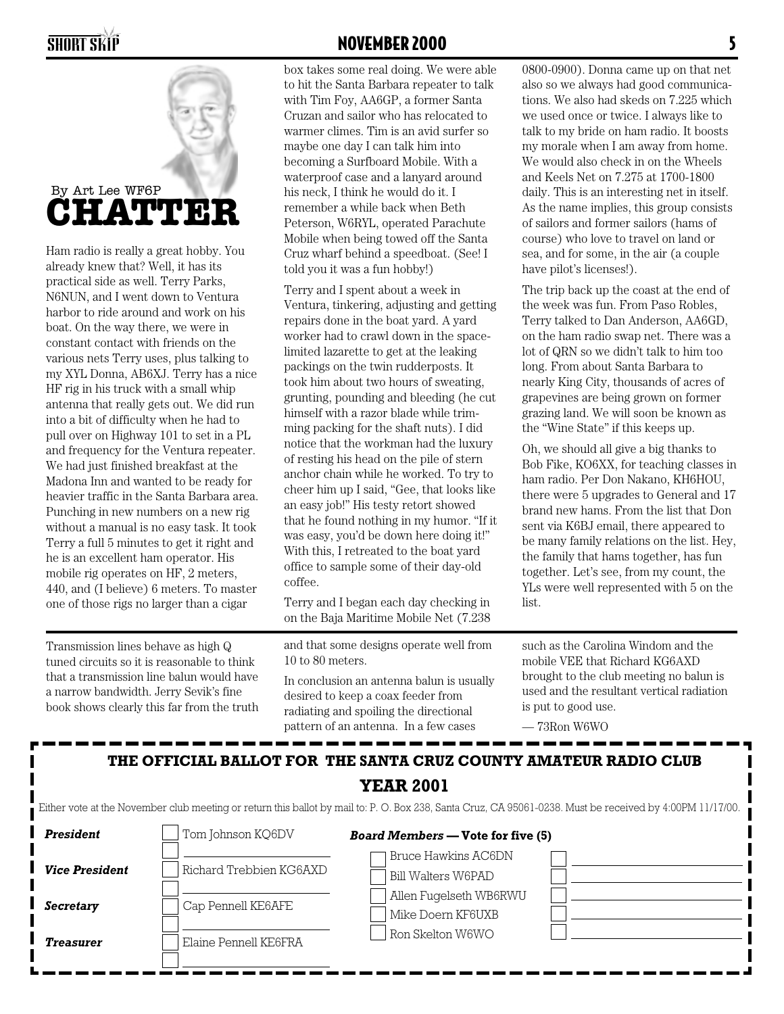

Ham radio is really a great hobby. You already knew that? Well, it has its practical side as well. Terry Parks, N6NUN, and I went down to Ventura harbor to ride around and work on his boat. On the way there, we were in constant contact with friends on the various nets Terry uses, plus talking to my XYL Donna, AB6XJ. Terry has a nice HF rig in his truck with a small whip antenna that really gets out. We did run into a bit of difficulty when he had to pull over on Highway 101 to set in a PL and frequency for the Ventura repeater. We had just finished breakfast at the Madona Inn and wanted to be ready for heavier traffic in the Santa Barbara area. Punching in new numbers on a new rig without a manual is no easy task. It took Terry a full 5 minutes to get it right and he is an excellent ham operator. His mobile rig operates on HF, 2 meters, 440, and (I believe) 6 meters. To master one of those rigs no larger than a cigar

Transmission lines behave as high Q tuned circuits so it is reasonable to think that a transmission line balun would have a narrow bandwidth. Jerry Sevik's fine book shows clearly this far from the truth

#### SHORT SKiP NOVEMBER 2000 5

box takes some real doing. We were able to hit the Santa Barbara repeater to talk with Tim Foy, AA6GP, a former Santa Cruzan and sailor who has relocated to warmer climes. Tim is an avid surfer so maybe one day I can talk him into becoming a Surfboard Mobile. With a waterproof case and a lanyard around his neck, I think he would do it. I remember a while back when Beth Peterson, W6RYL, operated Parachute Mobile when being towed off the Santa Cruz wharf behind a speedboat. (See! I told you it was a fun hobby!)

Terry and I spent about a week in Ventura, tinkering, adjusting and getting repairs done in the boat yard. A yard worker had to crawl down in the spacelimited lazarette to get at the leaking packings on the twin rudderposts. It took him about two hours of sweating, grunting, pounding and bleeding (he cut himself with a razor blade while trimming packing for the shaft nuts). I did notice that the workman had the luxury of resting his head on the pile of stern anchor chain while he worked. To try to cheer him up I said, "Gee, that looks like an easy job!" His testy retort showed that he found nothing in my humor. "If it was easy, you'd be down here doing it!" With this, I retreated to the boat yard office to sample some of their day-old coffee.

Terry and I began each day checking in on the Baja Maritime Mobile Net (7.238

and that some designs operate well from 10 to 80 meters.

In conclusion an antenna balun is usually desired to keep a coax feeder from radiating and spoiling the directional pattern of an antenna. In a few cases

0800-0900). Donna came up on that net also so we always had good communications. We also had skeds on 7.225 which we used once or twice. I always like to talk to my bride on ham radio. It boosts my morale when I am away from home. We would also check in on the Wheels and Keels Net on 7.275 at 1700-1800 daily. This is an interesting net in itself. As the name implies, this group consists of sailors and former sailors (hams of course) who love to travel on land or sea, and for some, in the air (a couple have pilot's licenses!).

The trip back up the coast at the end of the week was fun. From Paso Robles, Terry talked to Dan Anderson, AA6GD, on the ham radio swap net. There was a lot of QRN so we didn't talk to him too long. From about Santa Barbara to nearly King City, thousands of acres of grapevines are being grown on former grazing land. We will soon be known as the "Wine State" if this keeps up.

Oh, we should all give a big thanks to Bob Fike, KO6XX, for teaching classes in ham radio. Per Don Nakano, KH6HOU, there were 5 upgrades to General and 17 brand new hams. From the list that Don sent via K6BJ email, there appeared to be many family relations on the list. Hey, the family that hams together, has fun together. Let's see, from my count, the YLs were well represented with 5 on the list.

such as the Carolina Windom and the mobile VEE that Richard KG6AXD brought to the club meeting no balun is used and the resultant vertical radiation is put to good use.

— 73Ron W6WO

### **THE OFFICIAL BALLOT FOR THE SANTA CRUZ COUNTY AMATEUR RADIO CLUB**

**YEAR 2001**

Either vote at the November club meeting or return this ballot by mail to: P. O. Box 238, Santa Cruz, CA 95061-0238. Must be received by 4:00PM 11/17/00.

**President** Tom Johnson KQ6DV

*Vice President* | Richard Trebbien KG6A

*Secretary*  $|$  Cap Pennell KE6AFE

*Treasurer*  $\vert$  Elaine Pennell KE6FRA

| <b>Board Members — Vote for five (5)</b> |  |
|------------------------------------------|--|
| Bruce Hawkins AC6DN                      |  |
| Bill Walters W6PAD                       |  |
| Allen Fugelseth WB6RWU                   |  |
| Mike Doern KF6UXB                        |  |

Ron Skelton W6WO